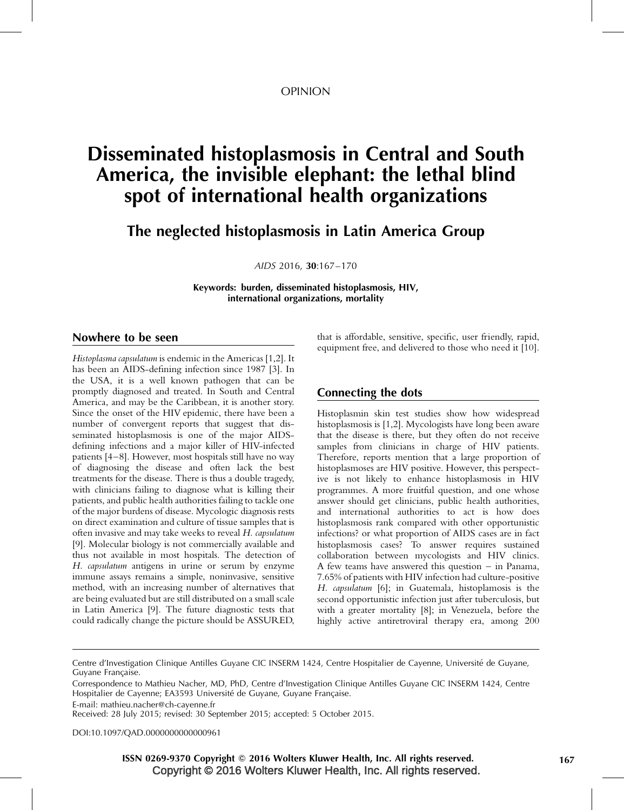#### OPINION

# Disseminated histoplasmosis in Central and South America, the invisible elephant: the lethal blind spot of international health organizations

The neglected histoplasmosis in Latin America Group

AIDS 2016, 30*:*167–170

Keywords: burden, disseminated histoplasmosis, HIV, international organizations, mortality

## Nowhere to be seen

Histoplasma capsulatum is endemic in the Americas [\[1,2\].](#page-2-0) It has been an AIDS-defining infection since 1987 [\[3\].](#page-2-0) In the USA, it is a well known pathogen that can be promptly diagnosed and treated. In South and Central America, and may be the Caribbean, it is another story. Since the onset of the HIV epidemic, there have been a number of convergent reports that suggest that disseminated histoplasmosis is one of the major AIDSdefining infections and a major killer of HIV-infected patients [\[4–8\]](#page-2-0). However, most hospitals still have no way of diagnosing the disease and often lack the best treatments for the disease. There is thus a double tragedy, with clinicians failing to diagnose what is killing their patients, and public health authorities failing to tackle one of the major burdens of disease. Mycologic diagnosis rests on direct examination and culture of tissue samples that is often invasive and may take weeks to reveal H. capsulatum [\[9\]](#page-3-0). Molecular biology is not commercially available and thus not available in most hospitals. The detection of H. capsulatum antigens in urine or serum by enzyme immune assays remains a simple, noninvasive, sensitive method, with an increasing number of alternatives that are being evaluated but are still distributed on a small scale in Latin America [\[9\]](#page-3-0). The future diagnostic tests that could radically change the picture should be ASSURED,

that is affordable, sensitive, specific, user friendly, rapid, equipment free, and delivered to those who need it [\[10\]](#page-3-0).

## Connecting the dots

Histoplasmin skin test studies show how widespread histoplasmosis is [\[1,2\].](#page-2-0) Mycologists have long been aware that the disease is there, but they often do not receive samples from clinicians in charge of HIV patients. Therefore, reports mention that a large proportion of histoplasmoses are HIV positive. However, this perspective is not likely to enhance histoplasmosis in HIV programmes. A more fruitful question, and one whose answer should get clinicians, public health authorities, and international authorities to act is how does histoplasmosis rank compared with other opportunistic infections? or what proportion of AIDS cases are in fact histoplasmosis cases? To answer requires sustained collaboration between mycologists and HIV clinics. A few teams have answered this question – in Panama, 7.65% of patients with HIV infection had culture-positive H. capsulatum [\[6\]](#page-2-0); in Guatemala, histoplamosis is the second opportunistic infection just after tuberculosis, but with a greater mortality [\[8\];](#page-3-0) in Venezuela, before the highly active antiretroviral therapy era, among 200

E-mail: [mathieu.nacher@ch-cayenne.fr](mailto:mathieu.nacher@ch-cayenne.fr)

DOI[:10.1097/QAD.0000000000000961](http://dx.doi.org/10.1097/QAD.0000000000000961)

 Copyright © 2016 Wolters Kluwer Health, Inc. All rights reserved. ISSN 0269-9370 Copyright © 2016 Wolters Kluwer Health, Inc. All rights reserved. 167

Centre d'Investigation Clinique Antilles Guyane CIC INSERM 1424, Centre Hospitalier de Cayenne, Université de Guyane, Guyane Française.

Correspondence to Mathieu Nacher, MD, PhD, Centre d'Investigation Clinique Antilles Guyane CIC INSERM 1424, Centre Hospitalier de Cayenne; EA3593 Université de Guyane, Guyane Française.

Received: 28 July 2015; revised: 30 September 2015; accepted: 5 October 2015.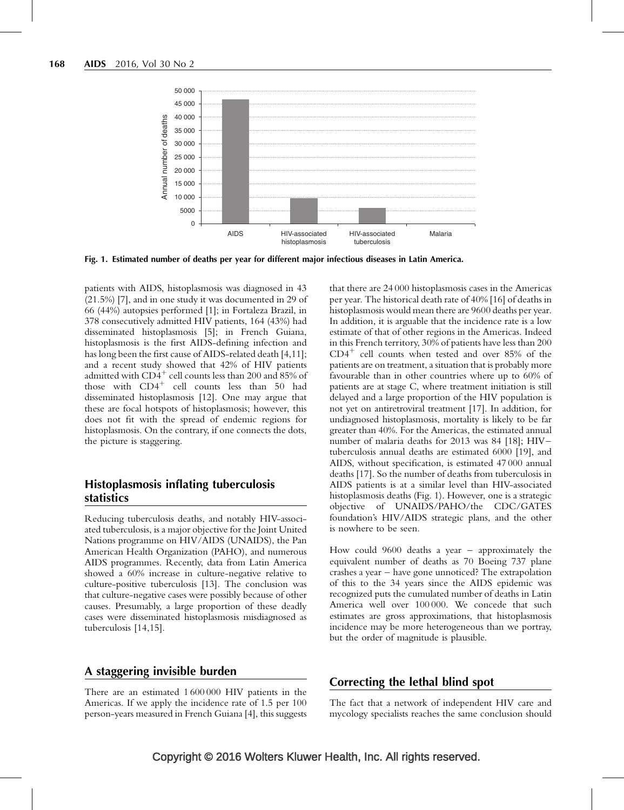

Fig. 1. Estimated number of deaths per year for different major infectious diseases in Latin America.

patients with AIDS, histoplasmosis was diagnosed in 43 (21.5%) [\[7\],](#page-3-0) and in one study it was documented in 29 of 66 (44%) autopsies performed [\[1\]](#page-2-0); in Fortaleza Brazil, in 378 consecutively admitted HIV patients, 164 (43%) had disseminated histoplasmosis [\[5\];](#page-2-0) in French Guiana, histoplasmosis is the first AIDS-defining infection and has long been the first cause of AIDS-related death [\[4,11\]](#page-2-0); and a recent study showed that 42% of HIV patients admitted with  $CD4^+$  cell counts less than 200 and 85% of those with  $CD4^+$  cell counts less than 50 had disseminated histoplasmosis [\[12\]](#page-3-0). One may argue that these are focal hotspots of histoplasmosis; however, this does not fit with the spread of endemic regions for histoplasmosis. On the contrary, if one connects the dots, the picture is staggering.

#### Histoplasmosis inflating tuberculosis statistics

Reducing tuberculosis deaths, and notably HIV-associated tuberculosis, is a major objective for the Joint United Nations programme on HIV/AIDS (UNAIDS), the Pan American Health Organization (PAHO), and numerous AIDS programmes. Recently, data from Latin America showed a 60% increase in culture-negative relative to culture-positive tuberculosis [\[13\]](#page-3-0). The conclusion was that culture-negative cases were possibly because of other causes. Presumably, a large proportion of these deadly cases were disseminated histoplasmosis misdiagnosed as tuberculosis [\[14,15\]](#page-3-0).

#### A staggering invisible burden

There are an estimated 1 600 000 HIV patients in the Americas. If we apply the incidence rate of 1.5 per 100 person-years measured in French Guiana [\[4\]](#page-2-0), this suggests that there are 24 000 histoplasmosis cases in the Americas per year. The historical death rate of 40% [\[16\]](#page-3-0) of deaths in histoplasmosis would mean there are 9600 deaths per year. In addition, it is arguable that the incidence rate is a low estimate of that of other regions in the Americas. Indeed in this French territory, 30% of patients have less than 200  $CD4^+$  cell counts when tested and over 85% of the patients are on treatment, a situation that is probably more favourable than in other countries where up to 60% of patients are at stage C, where treatment initiation is still delayed and a large proportion of the HIV population is not yet on antiretroviral treatment [\[17\].](#page-3-0) In addition, for undiagnosed histoplasmosis, mortality is likely to be far greater than 40%. For the Americas, the estimated annual number of malaria deaths for 2013 was 84 [\[18\]](#page-3-0); HIV– tuberculosis annual deaths are estimated 6000 [\[19\],](#page-3-0) and AIDS, without specification, is estimated 47 000 annual deaths [\[17\]](#page-3-0). So the number of deaths from tuberculosis in AIDS patients is at a similar level than HIV-associated histoplasmosis deaths (Fig. 1). However, one is a strategic objective of UNAIDS/PAHO/the CDC/GATES foundation's HIV/AIDS strategic plans, and the other is nowhere to be seen.

How could 9600 deaths a year – approximately the equivalent number of deaths as 70 Boeing 737 plane crashes a year – have gone unnoticed? The extrapolation of this to the 34 years since the AIDS epidemic was recognized puts the cumulated number of deaths in Latin America well over 100 000. We concede that such estimates are gross approximations, that histoplasmosis incidence may be more heterogeneous than we portray, but the order of magnitude is plausible.

#### Correcting the lethal blind spot

The fact that a network of independent HIV care and mycology specialists reaches the same conclusion should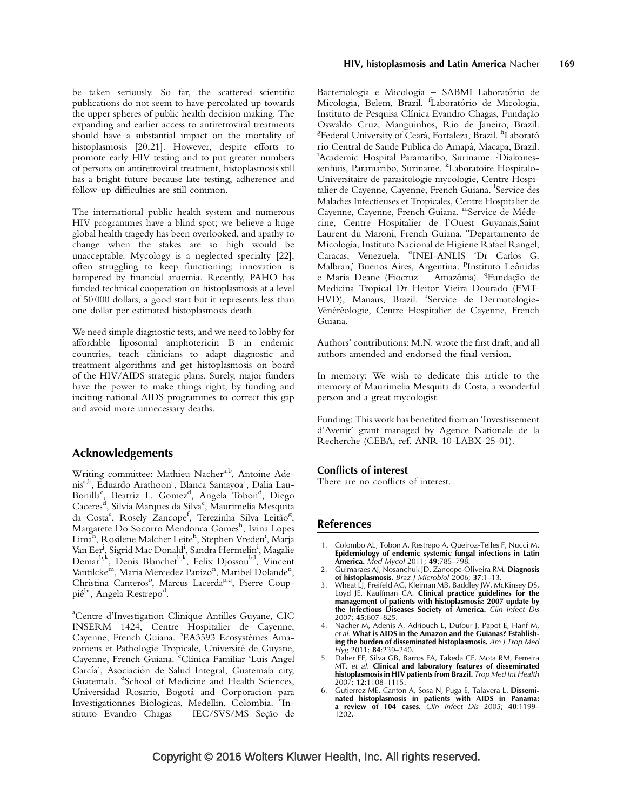<span id="page-2-0"></span>be taken seriously. So far, the scattered scientific publications do not seem to have percolated up towards the upper spheres of public health decision making. The expanding and earlier access to antiretroviral treatments should have a substantial impact on the mortality of histoplasmosis [\[20,21\].](#page-3-0) However, despite efforts to promote early HIV testing and to put greater numbers of persons on antiretroviral treatment, histoplasmosis still has a bright future because late testing, adherence and follow-up difficulties are still common.

The international public health system and numerous HIV programmes have a blind spot; we believe a huge global health tragedy has been overlooked, and apathy to change when the stakes are so high would be unacceptable. Mycology is a neglected specialty [\[22\]](#page-3-0), often struggling to keep functioning; innovation is hampered by financial anaemia. Recently, PAHO has funded technical cooperation on histoplasmosis at a level of 50 000 dollars, a good start but it represents less than one dollar per estimated histoplasmosis death.

We need simple diagnostic tests, and we need to lobby for affordable liposomal amphotericin B in endemic countries, teach clinicians to adapt diagnostic and treatment algorithms and get histoplasmosis on board of the HIV/AIDS strategic plans. Surely, major funders have the power to make things right, by funding and inciting national AIDS programmes to correct this gap and avoid more unnecessary deaths.

# Acknowledgements

Writing committee: Mathieu Nachera,b, Antoine Adenis<sup>a,b</sup>, Eduardo Arathoon<sup>c</sup>, Blanca Samayoa<sup>c</sup>, Dalia Lau-Bonilla<sup>c</sup>, Beatriz L. Gomez<sup>d</sup>, Angela Tobon<sup>d</sup>, Diego Caceres<sup>d</sup>, Silvia Marques da Silva<sup>e</sup>, Maurimelia Mesquita da Costa<sup>e</sup>, Rosely Zancope<sup>f</sup>, Terezinha Silva Leitão<sup>g</sup>, Margarete Do Socorro Mendonca Gomes<sup>h</sup>, Ivina Lopes Lima<sup>h</sup>, Rosilene Malcher Leite<sup>h</sup>, Stephen Vreden<sup>i</sup>, Marja Van Eer<sup>j</sup>, Sigrid Mac Donald<sup>i</sup>, Sandra Hermelin<sup>i</sup>, Magalie  $Demar^{b,k}$ , Denis Blanchet<sup>b,k</sup>, Felix Djossou<sup>b,1</sup>, Vincent Vantilcke<sup>m</sup>, Maria Mercedez Panizo<sup>n</sup>, Maribel Dolande<sup>n</sup>, Christina Canteros<sup>o</sup>, Marcus Lacerda<sup>p,q</sup>, Pierre Couppié<sup>br</sup>, Angela Restrepo<sup>d</sup>.

a Centre d'Investigation Clinique Antilles Guyane, CIC INSERM 1424, Centre Hospitalier de Cayenne, Cayenne, French Guiana. <sup>b</sup>EA3593 Ecosystèmes Amazoniens et Pathologie Tropicale, Université de Guyane, Cayenne, French Guiana. Clínica Familiar 'Luis Angel García', Asociación de Salud Integral, Guatemala city, Guatemala. <sup>d</sup>School of Medicine and Health Sciences, Universidad Rosario, Bogota´ and Corporacion para Investigationnes Biologicas, Medellin, Colombia. <sup>e</sup>Instituto Evandro Chagas - IEC/SVS/MS Seção de Bacteriologia e Micologia - SABMI Laboratório de Micologia, Belem, Brazil. <sup>f</sup>Laboratório de Micologia, Instituto de Pesquisa Clínica Evandro Chagas, Fundação Oswaldo Cruz, Manguinhos, Rio de Janeiro, Brazil. <sup>g</sup>Federal University of Ceará, Fortaleza, Brazil. <sup>h</sup>Laborató rio Central de Saude Publica do Amapá, Macapa, Brazil. Academic Hospital Paramaribo, Suriname. <sup>j</sup>Diakonessenhuis, Paramaribo, Suriname. <sup>k</sup>Laboratoire Hospitalo-Universitaire de parasitologie mycologie, Centre Hospitalier de Cayenne, Cayenne, French Guiana. <sup>1</sup>Service des Maladies Infectieuses et Tropicales, Centre Hospitalier de Cayenne, Cayenne, French Guiana. <sup>m</sup>Service de Médecine, Centre Hospitalier de l'Ouest Guyanais,Saint Laurent du Maroni, French Guiana. <sup>n</sup>Departamento de Micología, Instituto Nacional de Higiene Rafael Rangel, Caracas, Venezuela. <sup>o</sup>INEI-ANLIS 'Dr Carlos G. Malbran,' Buenos Aires, Argentina. <sup>P</sup>Instituto Leônidas e Maria Deane (Fiocruz – Amazônia). <sup>q</sup>Fundação de Medicina Tropical Dr Heitor Vieira Dourado (FMT-HVD), Manaus, Brazil. <sup>"</sup>Service de Dermatologie-Vénéréologie, Centre Hospitalier de Cayenne, French Guiana.

Authors' contributions: M.N. wrote the first draft, and all authors amended and endorsed the final version.

In memory: We wish to dedicate this article to the memory of Maurimelia Mesquita da Costa, a wonderful person and a great mycologist.

Funding: This work has benefited from an 'Investissement d'Avenir' grant managed by Agence Nationale de la Recherche (CEBA, ref. ANR-10-LABX-25-01).

#### Conflicts of interest

There are no conflicts of interest.

#### References

- 1. Colombo AL, Tobon A, Restrepo A, Queiroz-Telles F, Nucci M. Epidemiology of endemic systemic fungal infections in Latin America. Med Mycol 2011; 49:785–798.
- 2. Guimaraes AJ, Nosanchuk JD, Zancope-Oliveira RM. Diagnosis of histoplasmosis. Braz J Microbiol 2006; 37:1-13.
- 3. Wheat LJ, Freifeld AG, Kleiman MB, Baddley JW, McKinsey DS, Loyd JE, Kauffman CA. Clinical practice guidelines for the management of patients with histoplasmosis: 2007 update by the Infectious Diseases Society of America. Clin Infect Dis 2007; 45:807–825.
- 4. Nacher M, Adenis A, Adriouch L, Dufour J, Papot E, Hanf M, et al. What is AIDS in the Amazon and the Guianas? Establishing the burden of disseminated histoplasmosis. Am J Trop Med Hyg 2011; 84:239–240.
- 5. Daher EF, Silva GB, Barros FA, Takeda CF, Mota RM, Ferreira MT, et al. Clinical and laboratory features of disseminated histoplasmosis in HIV patients from Brazil. Trop Med Int Health 2007; 12:1108–1115.
- 6. Gutierrez ME, Canton A, Sosa N, Puga E, Talavera L. Disseminated histoplasmosis in patients with AIDS in Panama: a review of 104 cases. Clin Infect Dis 2005; 40:1199– 1202.